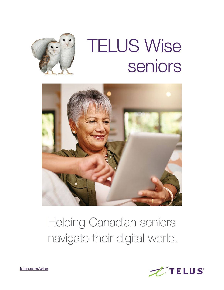

# TELUS Wise seniors



# Helping Canadian seniors navigate their digital world.



[telus.com/wise](http://telus.com/wise)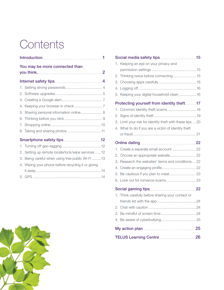## **Contents**

| You may be more connected than                     |
|----------------------------------------------------|
|                                                    |
|                                                    |
|                                                    |
|                                                    |
|                                                    |
| 5. Sharing personal information online 8           |
|                                                    |
|                                                    |
|                                                    |
|                                                    |
|                                                    |
| 2. Setting up remote locate/lock/wipe services 12  |
| 3. Being careful when using free public Wi-Fi 13   |
| 4. Wiping your phone before recycling it or giving |
|                                                    |

5. GPS [...................................................................14](#page-15-0)

| 1. | Keeping an eye on your privacy and                     |  |
|----|--------------------------------------------------------|--|
|    |                                                        |  |
| 2. | Thinking twice before connecting 15                    |  |
| 3. |                                                        |  |
| 4. |                                                        |  |
| 5. | Keeping your digital household clean 16                |  |
|    | Protecting yourself from identity theft17              |  |
| 1. |                                                        |  |
| 2. |                                                        |  |
| 3. | Limit your risk for identity theft with these tips  20 |  |
| 4. | What to do if you are a victim of identity theft       |  |
|    |                                                        |  |
|    |                                                        |  |
| 1. | Create a separate email account  22                    |  |
| 2. | Choose an appropriate website 22                       |  |
| 3. | Research the websites' terms and conditions 22         |  |
| 4. |                                                        |  |
| 5. |                                                        |  |
| 6. | Look out for romance scams 23                          |  |
|    |                                                        |  |
| 1. | Think carefully before sharing your contact or         |  |
|    |                                                        |  |
| 2. |                                                        |  |
| 3. |                                                        |  |
| 4. |                                                        |  |
|    |                                                        |  |
|    |                                                        |  |

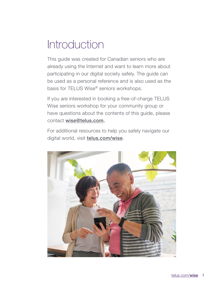## <span id="page-2-0"></span>**Introduction**

This guide was created for Canadian seniors who are already using the Internet and want to learn more about participating in our digital society safely. The guide can be used as a personal reference and is also used as the basis for TELUS Wise® seniors workshops.

If you are interested in booking a free-of-charge TELUS Wise seniors workshop for your community group or have questions about the contents of this guide, please contact [wise@telus.com](mailto:wise@telus.com).

For additional resources to help you safely navigate our digital world, visit **[telus.com/wise](https://www.telus.com/en/wise)**.

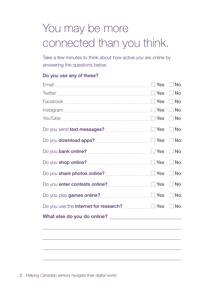# <span id="page-3-0"></span>You may be more connected than you think.

Take a few minutes to think about how active you are online by answering the questions below.

#### Do you use any of these?

|                                                          | $\Box$ No |
|----------------------------------------------------------|-----------|
|                                                          | $\Box$ No |
| YouTube $\Box$ No                                        |           |
|                                                          |           |
|                                                          |           |
|                                                          |           |
|                                                          |           |
|                                                          |           |
|                                                          |           |
|                                                          |           |
| Do you use the Internet for research? <u>[11]</u> Yes No |           |
|                                                          |           |

\_\_\_\_\_\_\_\_\_\_\_\_\_\_\_\_\_\_\_\_\_\_\_\_\_\_\_\_\_\_\_\_\_\_\_\_\_\_\_\_\_\_\_\_\_\_\_\_\_\_\_\_\_\_\_\_

\_\_\_\_\_\_\_\_\_\_\_\_\_\_\_\_\_\_\_\_\_\_\_\_\_\_\_\_\_\_\_\_\_\_\_\_\_\_\_\_\_\_\_\_\_\_\_\_\_\_\_\_\_\_\_\_

\_\_\_\_\_\_\_\_\_\_\_\_\_\_\_\_\_\_\_\_\_\_\_\_\_\_\_\_\_\_\_\_\_\_\_\_\_\_\_\_\_\_\_\_\_\_\_\_\_\_\_\_\_\_\_\_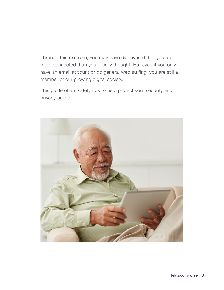Through this exercise, you may have discovered that you are more connected than you initially thought. But even if you only have an email account or do general web surfing, you are still a member of our growing digital society.

This guide offers safety tips to help protect your security and privacy online.

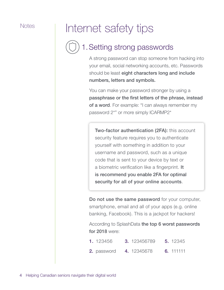# <span id="page-5-0"></span>Notes | Internet safety tips

## 1.Setting strong passwords

A strong password can stop someone from hacking into your email, social networking accounts, etc. Passwords should be least eight characters long and include numbers, letters and symbols.

You can make your password stronger by using a passphrase or the first letters of the phrase, instead of a word. For example: "I can always remember my password 2\*" or more simply ICARMP2\*

Two-factor authentication (2FA): this account security feature requires you to authenticate yourself with something in addition to your username and password, such as a unique code that is sent to your device by text or a biometric verification like a fingerprint. It is recommend you enable 2FA for optimal security for all of your online accounts.

Do not use the same password for your computer, smartphone, email and all of your apps (e.g. online banking, Facebook). This is a jackpot for hackers!

According to SplashData the top 6 worst passwords for 2018 were:

- **1.** 123456 **3.** 123456789 5. 12345
- **2.** password **4.** 12345678 6. 111111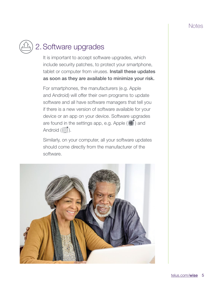## <span id="page-6-0"></span>2.Software upgrades

It is important to accept software upgrades, which include security patches, to protect your smartphone, tablet or computer from viruses. Install these updates as soon as they are available to minimize your risk.

For smartphones, the manufacturers (e.g. Apple and Android) will offer their own programs to update software and all have software managers that tell you if there is a new version of software available for your device or an app on your device. Software upgrades are found in the settings app, e.g. Apple  $(\bigotimes)$  and Android  $(\overline{\textcircled{\scriptsize{c}}})$ .

Similarly, on your computer, all your software updates should come directly from the manufacturer of the software.

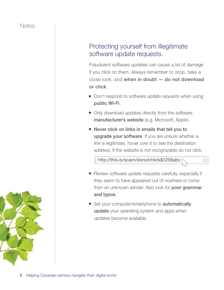### Protecting yourself from illegitimate software update requests.

Fraudulent software updates can cause a lot of damage if you click on them. Always remember to stop, take a close look, and when in doubt — do not download or click.

- Don't respond to software update requests when using public Wi-Fi.
- Only download updates directly from the software manufacturer's website (e.g. Microsoft, Apple).
- Never click on links in emails that tell you to upgrade your software. If you are unsure whether a link is legitimate, hover over it to see the destination address. If the website is not recognizable do not click.

http://this.is/scam/donot/click&1256abc

- Review software update requests carefully, especially if they seem to have appeared out of nowhere or come from an unknown sender. Also look for **poor grammar** and typos.
- Set your computer/smartphone to **automatically** update your operating system and apps when updates become available.

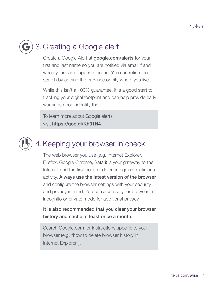## <span id="page-8-0"></span>3.Creating a Google alert

Create a Google Alert at **[google.com/alerts](https://www.google.com/alerts)** for your first and last name so you are notified via email if and when your name appears online. You can refine the search by adding the province or city where you live.

While this isn't a 100% guarantee, it is a good start to tracking your digital footprint and can help provide early warnings about identity theft.

To learn more about Google alerts, visit <https://goo.gl/Kh01N4>

## 4.Keeping your browser in check

The web browser you use (e.g. Internet Explorer, Firefox, Google Chrome, Safari) is your gateway to the Internet and the first point of defence against malicious activity. Always use the latest version of the browser and configure the browser settings with your security and privacy in mind. You can also use your browser in incognito or private mode for additional privacy.

It is also recommended that you clear your browser history and cache at least once a month.

Search [Google.com](http://Google.com) for instructions specific to your browser (e.g. "how to delete browser history in Internet Explorer").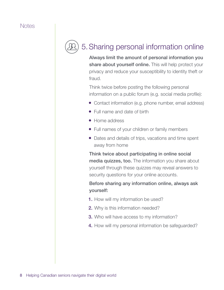## <span id="page-9-0"></span>5.Sharing personal information online

Always limit the amount of personal information you share about yourself online. This will help protect your privacy and reduce your susceptibility to identity theft or fraud.

Think twice before posting the following personal information on a public forum (e.g. social media profile):

- Contact information (e.g. phone number, email address)
- Full name and date of birth
- Home address
- Full names of your children or family members
- Dates and details of trips, vacations and time spent away from home

Think twice about participating in online social media quizzes, too. The information you share about yourself through these quizzes may reveal answers to security questions for your online accounts.

### Before sharing any information online, always ask yourself:

- **1.** How will my information be used?
- 2. Why is this information needed?
- **3.** Who will have access to my information?
- 4. How will my personal information be safeguarded?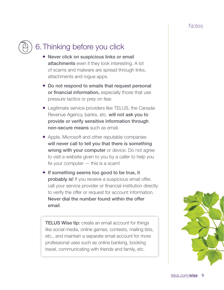## <span id="page-10-0"></span>6.Thinking before you click

- Never click on suspicious links or email attachments even if they look interesting. A lot of scams and malware are spread through links, attachments and rogue apps.
- Do not respond to emails that request personal or financial information, especially those that use pressure tactics or prey on fear.
- Legitimate service providers like TELUS, the Canada Revenue Agency, banks, etc. will not ask you to provide or verify sensitive information through non-secure means such as email.
- Apple, Microsoft and other reputable companies will never call to tell you that there is something wrong with your computer or device. Do not agree to visit a website given to you by a caller to help you fix your computer  $-$  this is a scam!
- If something seems too good to be true, it probably is! If you receive a suspicious email offer, call your service provider or financial institution directly to verify the offer or request for account information. Never dial the number found within the offer email.

**TELUS Wise tip:** create an email account for things like social media, online games, contests, mailing lists, etc., and maintain a separate email account for more professional uses such as online banking, booking travel, communicating with friends and family, etc.

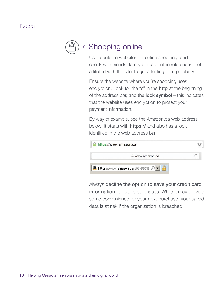<span id="page-11-0"></span>

Use reputable websites for online shopping, and check with friends, family or read online references (not affiliated with the site) to get a feeling for reputability.

Ensure the website where you're shopping uses encryption. Look for the "s" in the **http** at the beginning of the address bar, and the **lock symbol** – this indicates that the website uses encryption to protect your payment information.

By way of example, see the [Amazon.ca](http://Amazon.ca) web address below. It starts with **https://** and also has a lock identified in the web address bar.

| https://www.amazon.ca                      |  |
|--------------------------------------------|--|
| www.amazon.ca                              |  |
| https://www.amazon.ca/191-59038 $\Omega$ v |  |

Always decline the option to save your credit card information for future purchases. While it may provide some convenience for your next purchase, your saved data is at risk if the organization is breached.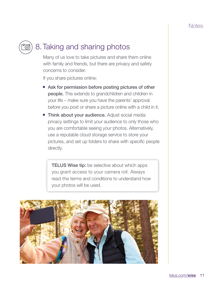## <span id="page-12-0"></span>8.Taking and sharing photos

Many of us love to take pictures and share them online with family and friends, but there are privacy and safety concerns to consider.

If you share pictures online:

- Ask for permission before posting pictures of other people. This extends to grandchildren and children in your life – make sure you have the parents' approval before you post or share a picture online with a child in it.
- Think about your audience. Adjust social media privacy settings to limit your audience to only those who you are comfortable seeing your photos. Alternatively, use a reputable cloud storage service to store your pictures, and set up folders to share with specific people directly.

**TELUS Wise tip:** be selective about which apps you grant access to your camera roll. Always read the terms and conditions to understand how your photos will be used.

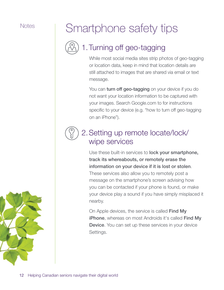# <span id="page-13-0"></span>Notes | Smartphone safety tips

## 1.Turning off geo-tagging

While most social media sites strip photos of geo-tagging or location data, keep in mind that location details are still attached to images that are shared via email or text message.

You can turn off geo-tagging on your device if you do not want your location information to be captured with your images. Search [Google.com](http://Google.com) to for instructions specific to your device (e.g. "how to turn off geo-tagging on an iPhone").

## 2.Setting up remote locate/lock/ wipe services

Use these built-in services to lock your smartphone, track its whereabouts, or remotely erase the information on your device if it is lost or stolen. These services also allow you to remotely post a message on the smartphone's screen advising how you can be contacted if your phone is found, or make your device play a sound if you have simply misplaced it nearby.

On Apple devices, the service is called Find My **iPhone**, whereas on most Androids it's called Find My **Device.** You can set up these services in your device Settings.

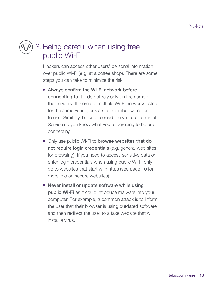<span id="page-14-0"></span>

## 3.Being careful when using free public Wi-Fi

Hackers can access other users' personal information over public Wi-Fi (e.g. at a coffee shop). There are some steps you can take to minimize the risk:

- Always confirm the Wi-Fi network before connecting to it  $-$  do not rely only on the name of the network. If there are multiple Wi-Fi networks listed for the same venue, ask a staff member which one to use. Similarly, be sure to read the venue's Terms of Service so you know what you're agreeing to before connecting.
- Only use public Wi-Fi to **browse websites that do** not require login credentials (e.g. general web sites for browsing). If you need to access sensitive data or enter login credentials when using public Wi-Fi only go to websites that start with https (see page 10 for more info on secure websites).
- Never install or update software while using public Wi-Fi as it could introduce malware into your computer. For example, a common attack is to inform the user that their browser is using outdated software and then redirect the user to a fake website that will install a virus.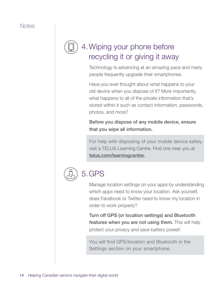## <span id="page-15-0"></span>4.Wiping your phone before recycling it or giving it away

Technology is advancing at an amazing pace and many people frequently upgrade their smartphones.

Have you ever thought about what happens to your old device when you dispose of it? More importantly, what happens to all of the private information that's stored within it such as contact information, passwords, photos, and more?

Before you dispose of any mobile device, ensure that you wipe all information.

For help with disposing of your mobile device safely, visit a TELUS Learning Centre. Find one near you at [telus.com/learningcentre](http://telus.com/learningcentre).



## 5.GPS

Manage location settings on your apps by understanding which apps need to know your location. Ask yourself, does Facebook or Twitter need to know my location in order to work properly?

Turn off GPS (or location settings) and Bluetooth features when you are not using them. This will help protect your privacy and save battery power!

You will find GPS/location and Bluetooth in the Settings section on your smartphone.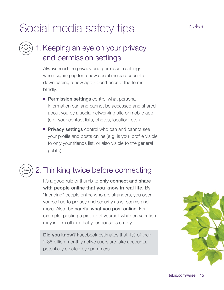# <span id="page-16-0"></span>Social media safety tips Social media safety tips

## 1.Keeping an eye on your privacy and permission settings

Always read the privacy and permission settings when signing up for a new social media account or downloading a new app - don't accept the terms blindly.

- Permission settings control what personal information can and cannot be accessed and shared about you by a social networking site or mobile app. (e.g. your contact lists, photos, location, etc.)
- Privacy settings control who can and cannot see your profile and posts online (e.g. is your profile visible to only your friends list, or also visible to the general public).

## 2.Thinking twice before connecting

It's a good rule of thumb to only connect and share with people online that you know in real life. By "friending" people online who are strangers, you open yourself up to privacy and security risks, scams and more. Also, be careful what you post online. For example, posting a picture of yourself while on vacation may inform others that your house is empty.

Did you know? Facebook estimates that 1% of their 2.38 billion monthly active users are fake accounts, potentially created by spammers.

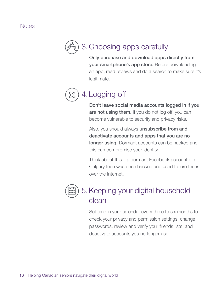<span id="page-17-0"></span>

## 3.Choosing apps carefully

Only purchase and download apps directly from your smartphone's app store. Before downloading an app, read reviews and do a search to make sure it's legitimate.

## 4.Logging off

Don't leave social media accounts logged in if you are not using them. If you do not log off, you can become vulnerable to security and privacy risks.

Also, you should always **unsubscribe from and** deactivate accounts and apps that you are no longer using. Dormant accounts can be hacked and this can compromise your identity.

Think about this – a dormant Facebook account of a Calgary teen was once hacked and used to lure teens over the Internet.



## 5.Keeping your digital household clean

Set time in your calendar every three to six months to check your privacy and permission settings, change passwords, review and verify your friends lists, and deactivate accounts you no longer use.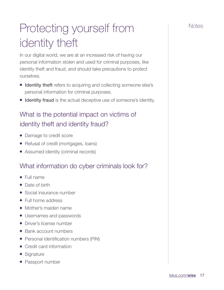# <span id="page-18-0"></span>Protecting yourself from The Notes identity theft

In our digital world, we are at an increased risk of having our personal information stolen and used for criminal purposes, like identity theft and fraud, and should take precautions to protect ourselves.

- Identity theft refers to acquiring and collecting someone else's personal information for criminal purposes.
- Identity fraud is the actual deceptive use of someone's identity.

### What is the potential impact on victims of identity theft and identity fraud?

- Damage to credit score
- Refusal of credit (mortgages, loans)
- Assumed identity (criminal records)

### What information do cyber criminals look for?

- Full name
- Date of birth
- Social insurance number
- Full home address
- Mother's maiden name
- Usernames and passwords
- Driver's license number
- Bank account numbers
- Personal identification numbers (PIN)
- Credit card information
- Signature
- Passport number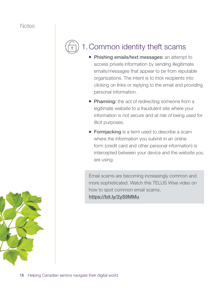## <span id="page-19-0"></span>1.Common identity theft scams

- Phishing emails/text messages: an attempt to access private information by sending illegitimate emails/messages that appear to be from reputable organizations. The intent is to trick recipients into clicking on links or replying to the email and providing personal information.
- Pharming: the act of redirecting someone from a legitimate website to a fraudulent site where your information is not secure and at risk of being used for illicit purposes.
- **Formjacking** is a term used to describe a scam where the information you submit in an online form (credit card and other personal information) is intercepted between your device and the website you are using.

Email scams are becoming increasingly common and more sophisticated. Watch this TELUS Wise video on how to spot common email scams. <https://bit.ly/2yS9MMu>

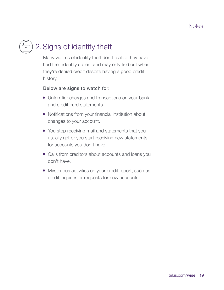## <span id="page-20-0"></span>2.Signs of identity theft

Many victims of identity theft don't realize they have had their identity stolen, and may only find out when they're denied credit despite having a good credit history.

#### Below are signs to watch for:

- Unfamiliar charges and transactions on your bank and credit card statements.
- Notifications from your financial institution about changes to your account.
- You stop receiving mail and statements that you usually get or you start receiving new statements for accounts you don't have.
- Calls from creditors about accounts and loans you don't have.
- Mysterious activities on your credit report, such as credit inquiries or requests for new accounts.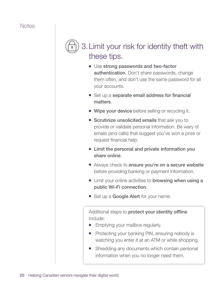## <span id="page-21-0"></span>3.Limit your risk for identity theft with these tips.

- Use strong passwords and two-factor **authentication**. Don't share passwords, change them often, and don't use the same password for all your accounts.
- Set up a separate email address for financial matters.
- Wipe your device before selling or recycling it.
- Scrutinize unsolicited emails that ask you to provide or validate personal information. Be wary of emails (and calls) that suggest you've won a prize or request financial help.
- Limit the personal and private information you share online.
- Always check to ensure you're on a secure website before providing banking or payment information.
- Limit your online activities to **browsing when using a** public Wi-Fi connection.
- Set up a **Google Alert** for your name.

Additional steps to protect your identity offline include:

- Emptying your mailbox regularly.
- Protecting your banking PIN, ensuring nobody is watching you enter it at an ATM or while shopping.
- Shredding any documents which contain personal information when you no longer need them.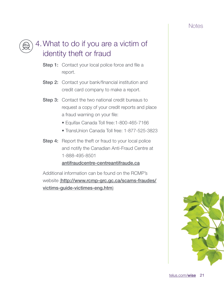<span id="page-22-0"></span>

## 4.What to do if you are a victim of identity theft or fraud

- Step 1: Contact your local police force and file a report.
- **Step 2:** Contact your bank/financial institution and credit card company to make a report.
- **Step 3:** Contact the two national credit bureaus to request a copy of your credit reports and place a fraud warning on your file:
	- Equifax Canada Toll free:1-800-465-7166
	- TransUnion Canada Toll free: 1-877-525-3823
- **Step 4:** Report the theft or fraud to your local police and notify the Canadian Anti-Fraud Centre at 1-888-495-8501

#### [antifraudcentre-centreantifraude.ca](http://www.antifraudcentre-centreantifraude.ca/)

Additional information can be found on the RCMP's website ([http://www.rcmp-grc.gc.ca/scams-fraudes/](http://www.rcmp-grc.gc.ca/scams-fraudes/victims-guide-victimes-eng.htm) [victims-guide-victimes-eng.htm](http://www.rcmp-grc.gc.ca/scams-fraudes/victims-guide-victimes-eng.htm))

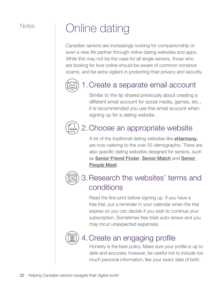## <span id="page-23-0"></span>Notes | Online dating

Canadian seniors are increasingly looking for companionship or even a new life partner through online dating websites and apps. While this may not be the case for all single seniors, those who are looking for love online should be aware of common romance scams, and be extra vigilant in protecting their privacy and security.



## 1.Create a separate email account

Similar to the tip shared previously about creating a different email account for social media, games, etc., it is recommended you use this email account when signing up for a dating website.



## 2.Choose an appropriate website

A lot of the traditional dating websites like **[eHarmony](https://www.eharmony.ca/senior-dating/http:/eHarmony/)**, are now catering to the over 55 demographic. There are also specific dating websites designed for seniors, such as [Senior Friend Finder](http://seniorfriendfinder.com/), [Senior Match](http://www.seniormatch.ca/) and [Senior](https://www.seniorpeoplemeet.com/v3/interstitial/sitemoved?returnUrl=%2f)  [People Meet](https://www.seniorpeoplemeet.com/v3/interstitial/sitemoved?returnUrl=%2f).



## 3.Research the websites' terms and conditions

Read the fine print before signing up. If you have a free trial, put a reminder in your calendar when the trial expires so you can decide if you wish to continue your subscription. Sometimes free trials auto-renew and you may incur unexpected expenses.



### 4.Create an engaging profile

Honesty is the best policy. Make sure your profile is up to date and accurate; however, be careful not to include too much personal information, like your exact date of birth.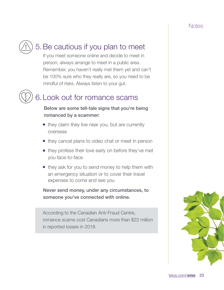## <span id="page-24-0"></span>5.Be cautious if you plan to meet

If you meet someone online and decide to meet in person, always arrange to meet in a public area. Remember, you haven't really met them yet and can't be 100% sure who they really are, so you need to be mindful of risks. Always listen to your gut.

## 6.Look out for romance scams

#### Below are some tell-tale signs that you're being romanced by a scammer:

- they claim they live near you, but are currently overseas
- they cancel plans to video chat or meet in person
- they profess their love early on before they've met you face-to-face
- they ask for you to send money to help them with an emergency situation or to cover their travel expenses to come and see you

Never send money, under any circumstances, to someone you've connected with online.

According to the Canadian Anti-Fraud Centre, romance scams cost Canadians more than \$22 million in reported losses in 2018.

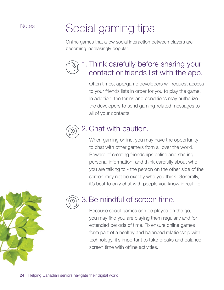# <span id="page-25-0"></span>Notes | Social gaming tips

Online games that allow social interaction between players are becoming increasingly popular.



## 1.Think carefully before sharing your contact or friends list with the app.

Often times, app/game developers will request access to your friends lists in order for you to play the game. In addition, the terms and conditions may authorize the developers to send gaming-related messages to all of your contacts.

## 2.Chat with caution.

When gaming online, you may have the opportunity to chat with other gamers from all over the world. Beware of creating friendships online and sharing personal information, and think carefully about who you are talking to - the person on the other side of the screen may not be exactly who you think. Generally, it's best to only chat with people you know in real life.

## 3.Be mindful of screen time.

Because social games can be played on the go, you may find you are playing them regularly and for extended periods of time. To ensure online games form part of a healthy and balanced relationship with technology, it's important to take breaks and balance screen time with offline activities.

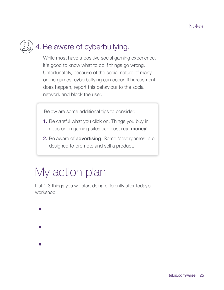## <span id="page-26-0"></span>4.Be aware of cyberbullying.

While most have a positive social gaming experience, it's good to know what to do if things go wrong. Unfortunately, because of the social nature of many online games, cyberbullying can occur. If harassment does happen, report this behaviour to the social network and block the user.

Below are some additional tips to consider:

- 1. Be careful what you click on. Things you buy in apps or on gaming sites can cost real money!
- 2. Be aware of advertising. Some 'advergames' are designed to promote and sell a product.

## My action plan

List 1-3 things you will start doing differently after today's workshop.

• • •